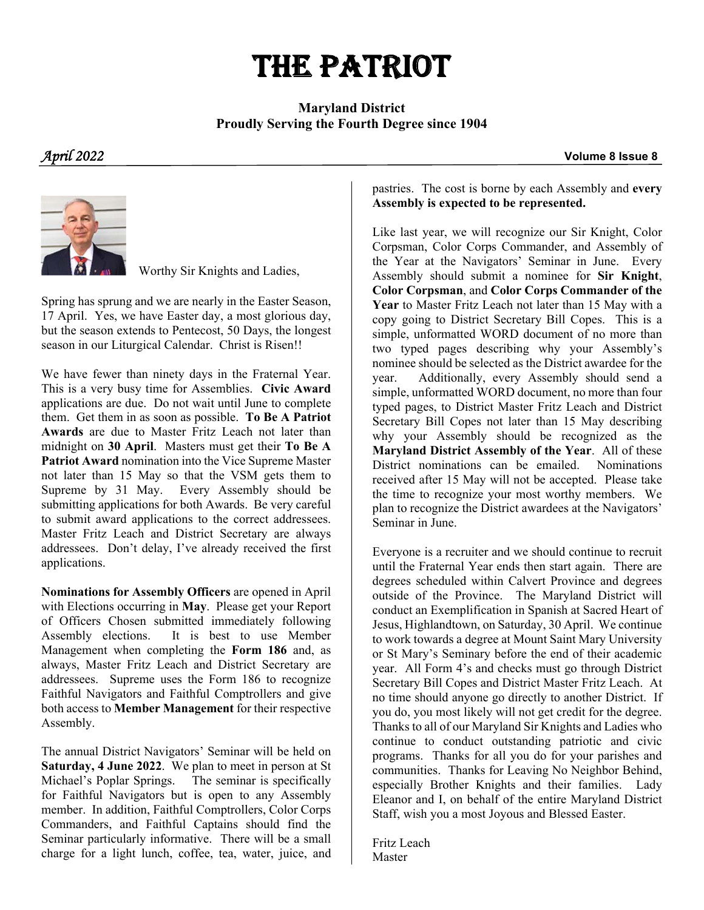# THE PATRIOT

#### **Maryland District Proudly Serving the Fourth Degree since 1904**

*April 2022* **Volume 8 Issue 8**



Worthy Sir Knights and Ladies,

Spring has sprung and we are nearly in the Easter Season, 17 April. Yes, we have Easter day, a most glorious day, but the season extends to Pentecost, 50 Days, the longest season in our Liturgical Calendar. Christ is Risen!!

We have fewer than ninety days in the Fraternal Year. This is a very busy time for Assemblies. **Civic Award** applications are due. Do not wait until June to complete them. Get them in as soon as possible. **To Be A Patriot Awards** are due to Master Fritz Leach not later than midnight on **30 April**. Masters must get their **To Be A Patriot Award** nomination into the Vice Supreme Master not later than 15 May so that the VSM gets them to Supreme by 31 May. Every Assembly should be submitting applications for both Awards. Be very careful to submit award applications to the correct addressees. Master Fritz Leach and District Secretary are always addressees. Don't delay, I've already received the first applications.

**Nominations for Assembly Officers** are opened in April with Elections occurring in **May**. Please get your Report of Officers Chosen submitted immediately following Assembly elections. It is best to use Member Management when completing the **Form 186** and, as always, Master Fritz Leach and District Secretary are addressees. Supreme uses the Form 186 to recognize Faithful Navigators and Faithful Comptrollers and give both access to **Member Management** for their respective Assembly.

The annual District Navigators' Seminar will be held on **Saturday, 4 June 2022**. We plan to meet in person at St Michael's Poplar Springs. The seminar is specifically for Faithful Navigators but is open to any Assembly member. In addition, Faithful Comptrollers, Color Corps Commanders, and Faithful Captains should find the Seminar particularly informative. There will be a small charge for a light lunch, coffee, tea, water, juice, and

pastries. The cost is borne by each Assembly and **every Assembly is expected to be represented.**

Like last year, we will recognize our Sir Knight, Color Corpsman, Color Corps Commander, and Assembly of the Year at the Navigators' Seminar in June. Every Assembly should submit a nominee for **Sir Knight**, **Color Corpsman**, and **Color Corps Commander of the Year** to Master Fritz Leach not later than 15 May with a copy going to District Secretary Bill Copes. This is a simple, unformatted WORD document of no more than two typed pages describing why your Assembly's nominee should be selected as the District awardee for the year. Additionally, every Assembly should send a simple, unformatted WORD document, no more than four typed pages, to District Master Fritz Leach and District Secretary Bill Copes not later than 15 May describing why your Assembly should be recognized as the **Maryland District Assembly of the Year**. All of these District nominations can be emailed. Nominations received after 15 May will not be accepted. Please take the time to recognize your most worthy members. We plan to recognize the District awardees at the Navigators' Seminar in June.

Everyone is a recruiter and we should continue to recruit until the Fraternal Year ends then start again. There are degrees scheduled within Calvert Province and degrees outside of the Province. The Maryland District will conduct an Exemplification in Spanish at Sacred Heart of Jesus, Highlandtown, on Saturday, 30 April. We continue to work towards a degree at Mount Saint Mary University or St Mary's Seminary before the end of their academic year. All Form 4's and checks must go through District Secretary Bill Copes and District Master Fritz Leach. At no time should anyone go directly to another District. If you do, you most likely will not get credit for the degree. Thanks to all of our Maryland Sir Knights and Ladies who continue to conduct outstanding patriotic and civic programs. Thanks for all you do for your parishes and communities. Thanks for Leaving No Neighbor Behind, especially Brother Knights and their families. Lady Eleanor and I, on behalf of the entire Maryland District Staff, wish you a most Joyous and Blessed Easter.

Fritz Leach Master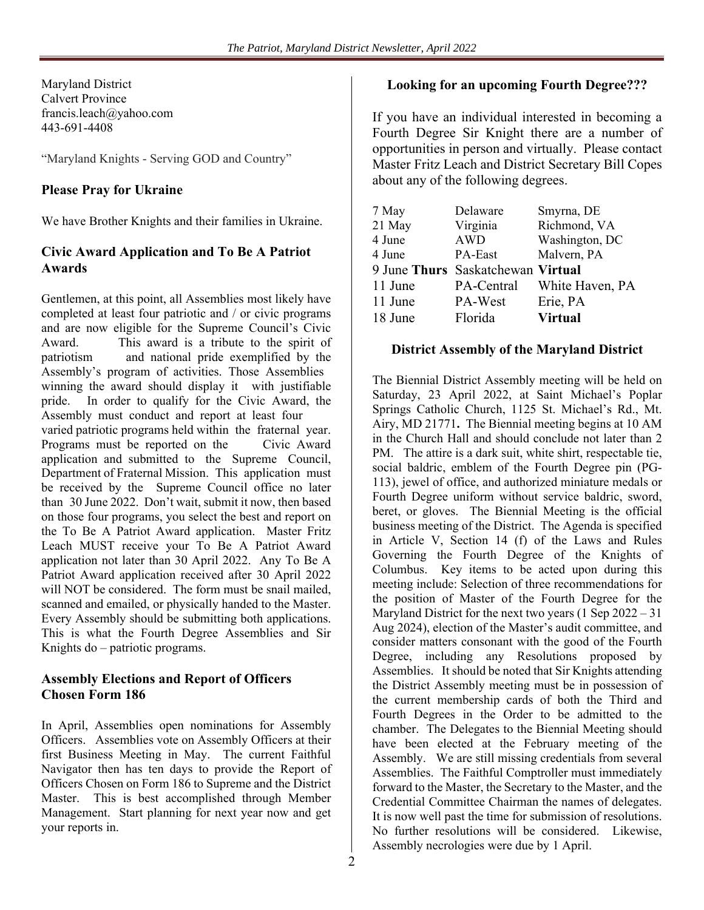Maryland District Calvert Province francis.leach@yahoo.com 443-691-4408

"Maryland Knights - Serving GOD and Country"

#### **Please Pray for Ukraine**

We have Brother Knights and their families in Ukraine.

#### **Civic Award Application and To Be A Patriot Awards**

Gentlemen, at this point, all Assemblies most likely have completed at least four patriotic and / or civic programs and are now eligible for the Supreme Council's Civic Award. This award is a tribute to the spirit of patriotism and national pride exemplified by the Assembly's program of activities. Those Assemblies winning the award should display it with justifiable pride. In order to qualify for the Civic Award, the Assembly must conduct and report at least four varied patriotic programs held within the fraternal year. Programs must be reported on the Civic Award application and submitted to the Supreme Council, Department of Fraternal Mission. This application must be received by the Supreme Council office no later than 30 June 2022. Don't wait, submit it now, then based on those four programs, you select the best and report on the To Be A Patriot Award application. Master Fritz Leach MUST receive your To Be A Patriot Award application not later than 30 April 2022. Any To Be A Patriot Award application received after 30 April 2022 will NOT be considered. The form must be snail mailed, scanned and emailed, or physically handed to the Master. Every Assembly should be submitting both applications. This is what the Fourth Degree Assemblies and Sir Knights do – patriotic programs.

#### **Assembly Elections and Report of Officers Chosen Form 186**

In April, Assemblies open nominations for Assembly Officers. Assemblies vote on Assembly Officers at their first Business Meeting in May. The current Faithful Navigator then has ten days to provide the Report of Officers Chosen on Form 186 to Supreme and the District Master. This is best accomplished through Member Management. Start planning for next year now and get your reports in.

#### **Looking for an upcoming Fourth Degree???**

If you have an individual interested in becoming a Fourth Degree Sir Knight there are a number of opportunities in person and virtually. Please contact Master Fritz Leach and District Secretary Bill Copes about any of the following degrees.

| 7 May   | Delaware                          | Smyrna, DE      |
|---------|-----------------------------------|-----------------|
| 21 May  | Virginia                          | Richmond, VA    |
| 4 June  | <b>AWD</b>                        | Washington, DC  |
| 4 June  | PA-East                           | Malvern, PA     |
|         | 9 June Thurs Saskatchewan Virtual |                 |
| 11 June | PA-Central                        | White Haven, PA |
| 11 June | PA-West                           | Erie, PA        |
| 18 June | Florida                           | <b>Virtual</b>  |

#### **District Assembly of the Maryland District**

The Biennial District Assembly meeting will be held on Saturday, 23 April 2022, at Saint Michael's Poplar Springs Catholic Church, 1125 St. Michael's Rd., Mt. Airy, MD 21771**.** The Biennial meeting begins at 10 AM in the Church Hall and should conclude not later than 2 PM. The attire is a dark suit, white shirt, respectable tie, social baldric, emblem of the Fourth Degree pin (PG-113), jewel of office, and authorized miniature medals or Fourth Degree uniform without service baldric, sword, beret, or gloves. The Biennial Meeting is the official business meeting of the District. The Agenda is specified in Article V, Section 14 (f) of the Laws and Rules Governing the Fourth Degree of the Knights of Columbus. Key items to be acted upon during this meeting include: Selection of three recommendations for the position of Master of the Fourth Degree for the Maryland District for the next two years (1 Sep 2022 – 31 Aug 2024), election of the Master's audit committee, and consider matters consonant with the good of the Fourth Degree, including any Resolutions proposed by Assemblies. It should be noted that Sir Knights attending the District Assembly meeting must be in possession of the current membership cards of both the Third and Fourth Degrees in the Order to be admitted to the chamber. The Delegates to the Biennial Meeting should have been elected at the February meeting of the Assembly. We are still missing credentials from several Assemblies. The Faithful Comptroller must immediately forward to the Master, the Secretary to the Master, and the Credential Committee Chairman the names of delegates. It is now well past the time for submission of resolutions. No further resolutions will be considered. Likewise, Assembly necrologies were due by 1 April.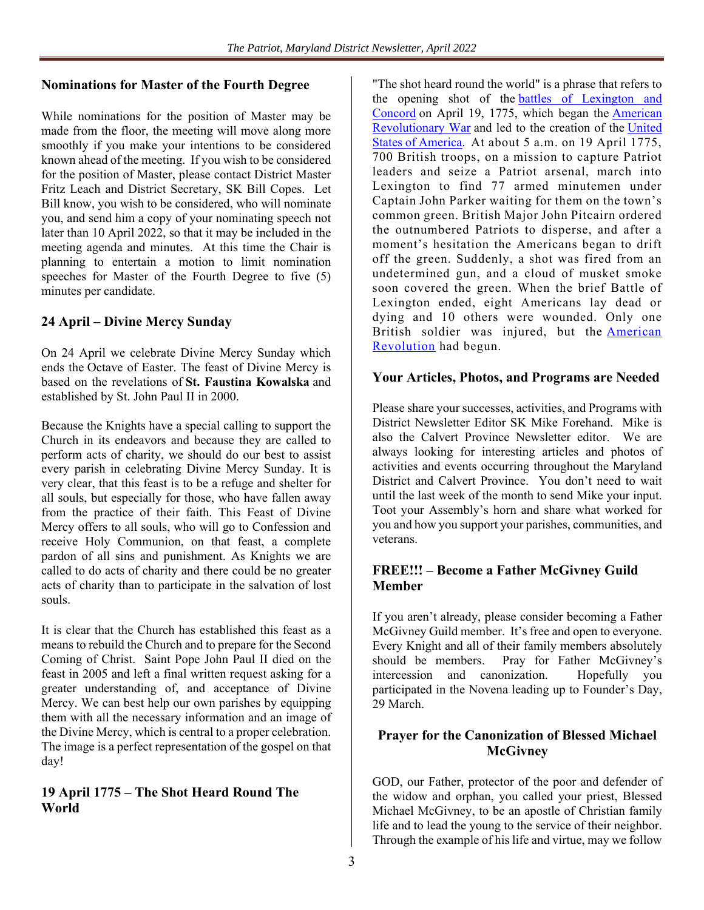#### **Nominations for Master of the Fourth Degree**

While nominations for the position of Master may be made from the floor, the meeting will move along more smoothly if you make your intentions to be considered known ahead of the meeting. If you wish to be considered for the position of Master, please contact District Master Fritz Leach and District Secretary, SK Bill Copes. Let Bill know, you wish to be considered, who will nominate you, and send him a copy of your nominating speech not later than 10 April 2022, so that it may be included in the meeting agenda and minutes. At this time the Chair is planning to entertain a motion to limit nomination speeches for Master of the Fourth Degree to five (5) minutes per candidate.

#### **24 April – Divine Mercy Sunday**

On 24 April we celebrate Divine Mercy Sunday which ends the Octave of Easter. The feast of Divine Mercy is based on the revelations of **St. Faustina Kowalska** and established by St. John Paul II in 2000.

Because the Knights have a special calling to support the Church in its endeavors and because they are called to perform acts of charity, we should do our best to assist every parish in celebrating Divine Mercy Sunday. It is very clear, that this feast is to be a refuge and shelter for all souls, but especially for those, who have fallen away from the practice of their faith. This Feast of Divine Mercy offers to all souls, who will go to Confession and receive Holy Communion, on that feast, a complete pardon of all sins and punishment. As Knights we are called to do acts of charity and there could be no greater acts of charity than to participate in the salvation of lost souls.

It is clear that the Church has established this feast as a means to rebuild the Church and to prepare for the Second Coming of Christ. Saint Pope John Paul II died on the feast in 2005 and left a final written request asking for a greater understanding of, and acceptance of Divine Mercy. We can best help our own parishes by equipping them with all the necessary information and an image of the Divine Mercy, which is central to a proper celebration. The image is a perfect representation of the gospel on that day!

#### **19 April 1775 – The Shot Heard Round The World**

"The shot heard round the world" is a phrase that refers to the opening shot of the battles of Lexington and Concord on April 19, 1775, which began the American Revolutionary War and led to the creation of the United States of America. At about 5 a.m. on 19 April 1775, 700 British troops, on a mission to capture Patriot leaders and seize a Patriot arsenal, march into Lexington to find 77 armed minutemen under Captain John Parker waiting for them on the town's common green. British Major John Pitcairn ordered the outnumbered Patriots to disperse, and after a moment's hesitation the Americans began to drift off the green. Suddenly, a shot was fired from an undetermined gun, and a cloud of musket smoke soon covered the green. When the brief Battle of Lexington ended, eight Americans lay dead or dying and 10 others were wounded. Only one British soldier was injured, but the American Revolution had begun.

#### **Your Articles, Photos, and Programs are Needed**

Please share your successes, activities, and Programs with District Newsletter Editor SK Mike Forehand. Mike is also the Calvert Province Newsletter editor. We are always looking for interesting articles and photos of activities and events occurring throughout the Maryland District and Calvert Province. You don't need to wait until the last week of the month to send Mike your input. Toot your Assembly's horn and share what worked for you and how you support your parishes, communities, and veterans.

#### **FREE!!! – Become a Father McGivney Guild Member**

If you aren't already, please consider becoming a Father McGivney Guild member. It's free and open to everyone. Every Knight and all of their family members absolutely should be members. Pray for Father McGivney's intercession and canonization. Hopefully you participated in the Novena leading up to Founder's Day, 29 March.

#### **Prayer for the Canonization of Blessed Michael McGivney**

GOD, our Father, protector of the poor and defender of the widow and orphan, you called your priest, Blessed Michael McGivney, to be an apostle of Christian family life and to lead the young to the service of their neighbor. Through the example of his life and virtue, may we follow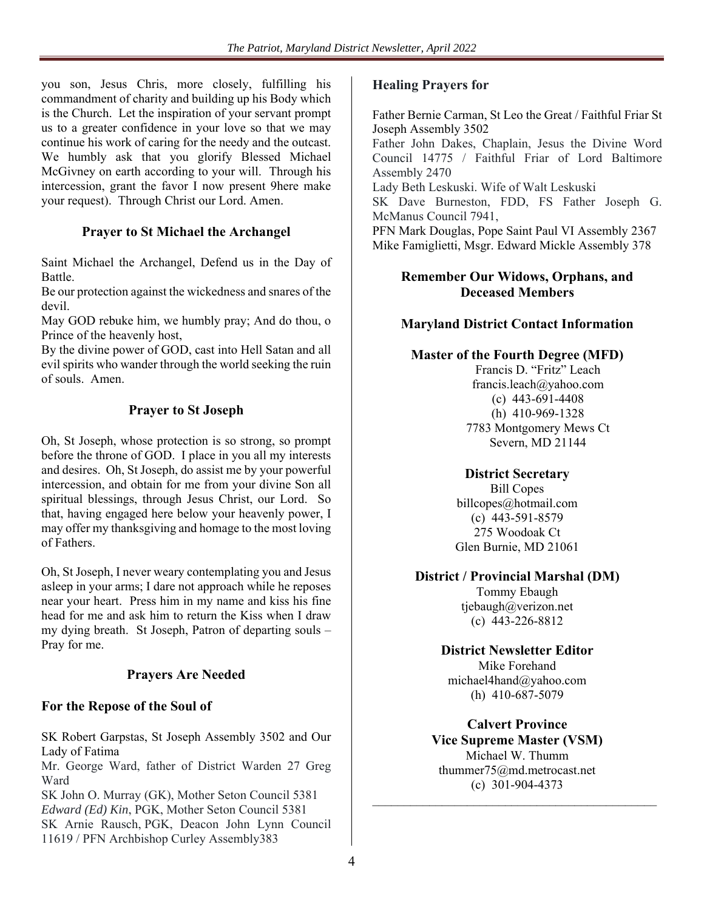you son, Jesus Chris, more closely, fulfilling his commandment of charity and building up his Body which is the Church. Let the inspiration of your servant prompt us to a greater confidence in your love so that we may continue his work of caring for the needy and the outcast. We humbly ask that you glorify Blessed Michael McGivney on earth according to your will. Through his intercession, grant the favor I now present 9here make your request). Through Christ our Lord. Amen.

#### **Prayer to St Michael the Archangel**

Saint Michael the Archangel, Defend us in the Day of Battle.

Be our protection against the wickedness and snares of the devil.

May GOD rebuke him, we humbly pray; And do thou, o Prince of the heavenly host,

By the divine power of GOD, cast into Hell Satan and all evil spirits who wander through the world seeking the ruin of souls. Amen.

### **Prayer to St Joseph**

Oh, St Joseph, whose protection is so strong, so prompt before the throne of GOD. I place in you all my interests and desires. Oh, St Joseph, do assist me by your powerful intercession, and obtain for me from your divine Son all spiritual blessings, through Jesus Christ, our Lord. So that, having engaged here below your heavenly power, I may offer my thanksgiving and homage to the most loving of Fathers.

Oh, St Joseph, I never weary contemplating you and Jesus asleep in your arms; I dare not approach while he reposes near your heart. Press him in my name and kiss his fine head for me and ask him to return the Kiss when I draw my dying breath. St Joseph, Patron of departing souls – Pray for me.

#### **Prayers Are Needed**

#### **For the Repose of the Soul of**

SK Robert Garpstas, St Joseph Assembly 3502 and Our Lady of Fatima

Mr. George Ward, father of District Warden 27 Greg Ward

SK John O. Murray (GK), Mother Seton Council 5381 *Edward (Ed) Kin*, PGK, Mother Seton Council 5381 SK Arnie Rausch, PGK, Deacon John Lynn Council 11619 / PFN Archbishop Curley Assembly383

#### **Healing Prayers for**

Father Bernie Carman, St Leo the Great / Faithful Friar St Joseph Assembly 3502

Father John Dakes, Chaplain, Jesus the Divine Word Council 14775 / Faithful Friar of Lord Baltimore Assembly 2470

Lady Beth Leskuski. Wife of Walt Leskuski SK Dave Burneston, FDD, FS Father Joseph G. McManus Council 7941,

PFN Mark Douglas, Pope Saint Paul VI Assembly 2367 Mike Famiglietti, Msgr. Edward Mickle Assembly 378

#### **Remember Our Widows, Orphans, and Deceased Members**

#### **Maryland District Contact Information**

#### **Master of the Fourth Degree (MFD)**

Francis D. "Fritz" Leach francis.leach@yahoo.com (c) 443-691-4408 (h) 410-969-1328 7783 Montgomery Mews Ct Severn, MD 21144

#### **District Secretary**

Bill Copes billcopes@hotmail.com (c) 443-591-8579 275 Woodoak Ct Glen Burnie, MD 21061

#### **District / Provincial Marshal (DM)**

Tommy Ebaugh tjebaugh@verizon.net (c) 443-226-8812

# **District Newsletter Editor**

Mike Forehand michael4hand@yahoo.com (h) 410-687-5079

**Calvert Province Vice Supreme Master (VSM)**  Michael W. Thumm thummer75@md.metrocast.net (c) 301-904-4373

 $\mathcal{L}_\text{max}$  , and the set of the set of the set of the set of the set of the set of the set of the set of the set of the set of the set of the set of the set of the set of the set of the set of the set of the set of the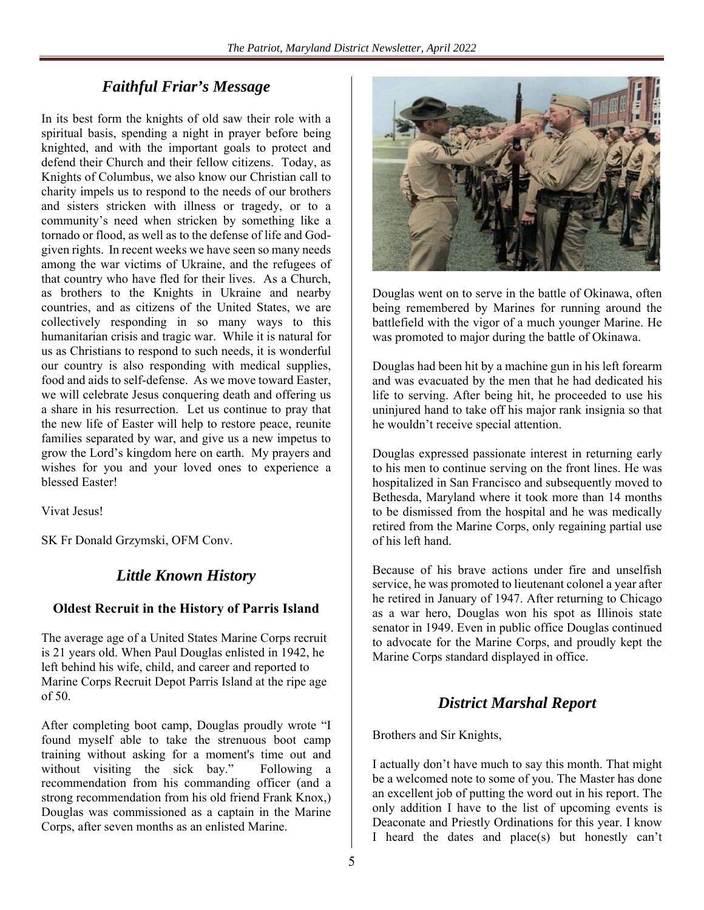# *Faithful Friar's Message*

In its best form the knights of old saw their role with a spiritual basis, spending a night in prayer before being knighted, and with the important goals to protect and defend their Church and their fellow citizens. Today, as Knights of Columbus, we also know our Christian call to charity impels us to respond to the needs of our brothers and sisters stricken with illness or tragedy, or to a community's need when stricken by something like a tornado or flood, as well as to the defense of life and Godgiven rights. In recent weeks we have seen so many needs among the war victims of Ukraine, and the refugees of that country who have fled for their lives. As a Church, as brothers to the Knights in Ukraine and nearby countries, and as citizens of the United States, we are collectively responding in so many ways to this humanitarian crisis and tragic war. While it is natural for us as Christians to respond to such needs, it is wonderful our country is also responding with medical supplies, food and aids to self-defense. As we move toward Easter, we will celebrate Jesus conquering death and offering us a share in his resurrection. Let us continue to pray that the new life of Easter will help to restore peace, reunite families separated by war, and give us a new impetus to grow the Lord's kingdom here on earth. My prayers and wishes for you and your loved ones to experience a blessed Easter!

Vivat Jesus!

SK Fr Donald Grzymski, OFM Conv.

# *Little Known History*

#### **Oldest Recruit in the History of Parris Island**

The average age of a United States Marine Corps recruit is 21 years old. When Paul Douglas enlisted in 1942, he left behind his wife, child, and career and reported to Marine Corps Recruit Depot Parris Island at the ripe age of 50.

After completing boot camp, Douglas proudly wrote "I found myself able to take the strenuous boot camp training without asking for a moment's time out and without visiting the sick bay." Following a recommendation from his commanding officer (and a strong recommendation from his old friend Frank Knox,) Douglas was commissioned as a captain in the Marine Corps, after seven months as an enlisted Marine.



Douglas went on to serve in the battle of Okinawa, often being remembered by Marines for running around the battlefield with the vigor of a much younger Marine. He was promoted to major during the battle of Okinawa.

Douglas had been hit by a machine gun in his left forearm and was evacuated by the men that he had dedicated his life to serving. After being hit, he proceeded to use his uninjured hand to take off his major rank insignia so that he wouldn't receive special attention.

Douglas expressed passionate interest in returning early to his men to continue serving on the front lines. He was hospitalized in San Francisco and subsequently moved to Bethesda, Maryland where it took more than 14 months to be dismissed from the hospital and he was medically retired from the Marine Corps, only regaining partial use of his left hand.

Because of his brave actions under fire and unselfish service, he was promoted to lieutenant colonel a year after he retired in January of 1947. After returning to Chicago as a war hero, Douglas won his spot as Illinois state senator in 1949. Even in public office Douglas continued to advocate for the Marine Corps, and proudly kept the Marine Corps standard displayed in office.

## *District Marshal Report*

Brothers and Sir Knights,

I actually don't have much to say this month. That might be a welcomed note to some of you. The Master has done an excellent job of putting the word out in his report. The only addition I have to the list of upcoming events is Deaconate and Priestly Ordinations for this year. I know I heard the dates and place(s) but honestly can't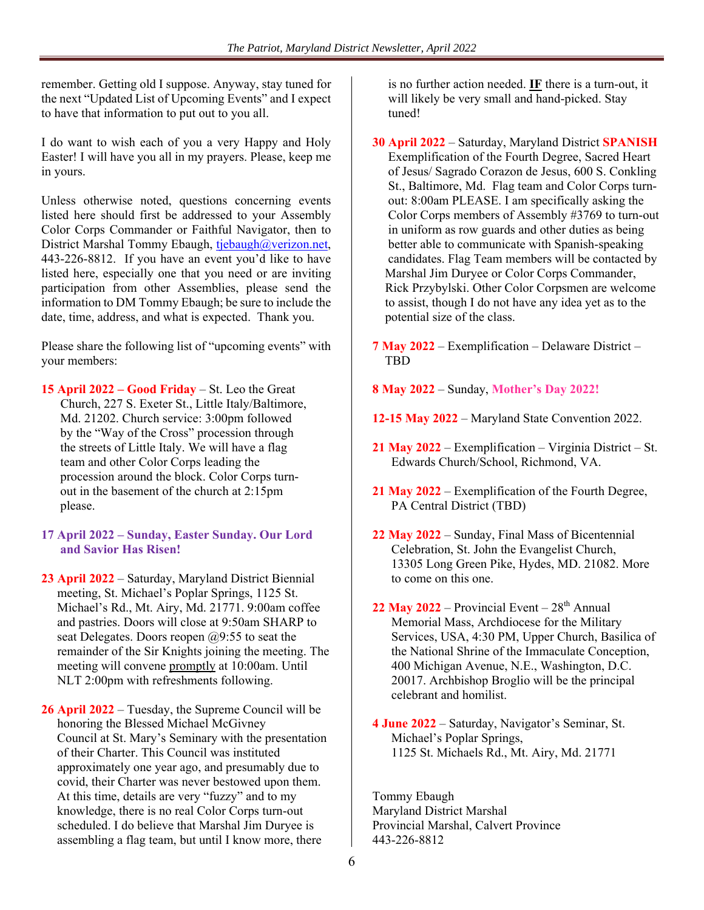remember. Getting old I suppose. Anyway, stay tuned for the next "Updated List of Upcoming Events" and I expect to have that information to put out to you all.

I do want to wish each of you a very Happy and Holy Easter! I will have you all in my prayers. Please, keep me in yours.

Unless otherwise noted, questions concerning events listed here should first be addressed to your Assembly Color Corps Commander or Faithful Navigator, then to District Marshal Tommy Ebaugh, tjebaugh@verizon.net, 443-226-8812. If you have an event you'd like to have listed here, especially one that you need or are inviting participation from other Assemblies, please send the information to DM Tommy Ebaugh; be sure to include the date, time, address, and what is expected. Thank you.

Please share the following list of "upcoming events" with your members:

**15 April 2022 – Good Friday** – St. Leo the Great Church, 227 S. Exeter St., Little Italy/Baltimore, Md. 21202. Church service: 3:00pm followed by the "Way of the Cross" procession through the streets of Little Italy. We will have a flag team and other Color Corps leading the procession around the block. Color Corps turn out in the basement of the church at 2:15pm please.

- **17 April 2022 Sunday, Easter Sunday. Our Lord and Savior Has Risen!**
- **23 April 2022**  Saturday, Maryland District Biennial meeting, St. Michael's Poplar Springs, 1125 St. Michael's Rd., Mt. Airy, Md. 21771. 9:00am coffee and pastries. Doors will close at 9:50am SHARP to seat Delegates. Doors reopen  $(29:55)$  to seat the remainder of the Sir Knights joining the meeting. The meeting will convene promptly at 10:00am. Until NLT 2:00pm with refreshments following.

**26 April 2022** – Tuesday, the Supreme Council will be honoring the Blessed Michael McGivney Council at St. Mary's Seminary with the presentation of their Charter. This Council was instituted approximately one year ago, and presumably due to covid, their Charter was never bestowed upon them. At this time, details are very "fuzzy" and to my knowledge, there is no real Color Corps turn-out scheduled. I do believe that Marshal Jim Duryee is assembling a flag team, but until I know more, there

 is no further action needed. **IF** there is a turn-out, it will likely be very small and hand-picked. Stay tuned!

- **30 April 2022** Saturday, Maryland District **SPANISH**  Exemplification of the Fourth Degree, Sacred Heart of Jesus/ Sagrado Corazon de Jesus, 600 S. Conkling St., Baltimore, Md. Flag team and Color Corps turn out: 8:00am PLEASE. I am specifically asking the Color Corps members of Assembly #3769 to turn-out in uniform as row guards and other duties as being better able to communicate with Spanish-speaking candidates. Flag Team members will be contacted by Marshal Jim Duryee or Color Corps Commander, Rick Przybylski. Other Color Corpsmen are welcome to assist, though I do not have any idea yet as to the potential size of the class.
- **7 May 2022** Exemplification Delaware District TBD
- **8 May 2022** Sunday, **Mother's Day 2022!**
- **12-15 May 2022** Maryland State Convention 2022.
- **21 May 2022** Exemplification Virginia District St. Edwards Church/School, Richmond, VA.
- **21 May 2022** Exemplification of the Fourth Degree, PA Central District (TBD)
- **22 May 2022**  Sunday, Final Mass of Bicentennial Celebration, St. John the Evangelist Church, 13305 Long Green Pike, Hydes, MD. 21082. More to come on this one.
- $22$  May  $2022$  Provincial Event  $28<sup>th</sup>$  Annual Memorial Mass, Archdiocese for the Military Services, USA, 4:30 PM, Upper Church, Basilica of the National Shrine of the Immaculate Conception, 400 Michigan Avenue, N.E., Washington, D.C. 20017. Archbishop Broglio will be the principal celebrant and homilist.
- **4 June 2022** Saturday, Navigator's Seminar, St. Michael's Poplar Springs, 1125 St. Michaels Rd., Mt. Airy, Md. 21771

Tommy Ebaugh Maryland District Marshal Provincial Marshal, Calvert Province 443-226-8812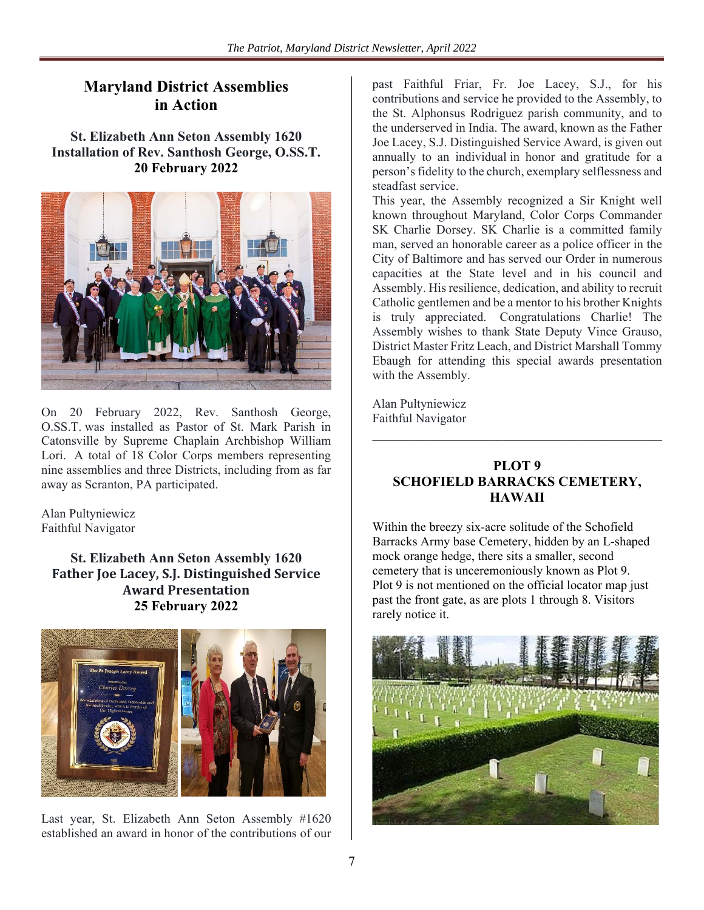# **Maryland District Assemblies in Action**

**St. Elizabeth Ann Seton Assembly 1620 Installation of Rev. Santhosh George, O.SS.T. 20 February 2022** 



On 20 February 2022, Rev. Santhosh George, O.SS.T. was installed as Pastor of St. Mark Parish in Catonsville by Supreme Chaplain Archbishop William Lori. A total of 18 Color Corps members representing nine assemblies and three Districts, including from as far away as Scranton, PA participated.

Alan Pultyniewicz Faithful Navigator

> **St. Elizabeth Ann Seton Assembly 1620 Father Joe Lacey, S.J. Distinguished Service Award Presentation 25 February 2022**



Last year, St. Elizabeth Ann Seton Assembly #1620 established an award in honor of the contributions of our past Faithful Friar, Fr. Joe Lacey, S.J., for his contributions and service he provided to the Assembly, to the St. Alphonsus Rodriguez parish community, and to the underserved in India. The award, known as the Father Joe Lacey, S.J. Distinguished Service Award, is given out annually to an individual in honor and gratitude for a person's fidelity to the church, exemplary selflessness and steadfast service.

This year, the Assembly recognized a Sir Knight well known throughout Maryland, Color Corps Commander SK Charlie Dorsey. SK Charlie is a committed family man, served an honorable career as a police officer in the City of Baltimore and has served our Order in numerous capacities at the State level and in his council and Assembly. His resilience, dedication, and ability to recruit Catholic gentlemen and be a mentor to his brother Knights is truly appreciated. Congratulations Charlie! The Assembly wishes to thank State Deputy Vince Grauso, District Master Fritz Leach, and District Marshall Tommy Ebaugh for attending this special awards presentation with the Assembly.

Alan Pultyniewicz Faithful Navigator

#### **PLOT 9 SCHOFIELD BARRACKS CEMETERY, HAWAII**

Within the breezy six-acre solitude of the Schofield Barracks Army base Cemetery, hidden by an L-shaped mock orange hedge, there sits a smaller, second cemetery that is unceremoniously known as Plot 9. Plot 9 is not mentioned on the official locator map just past the front gate, as are plots 1 through 8. Visitors rarely notice it.